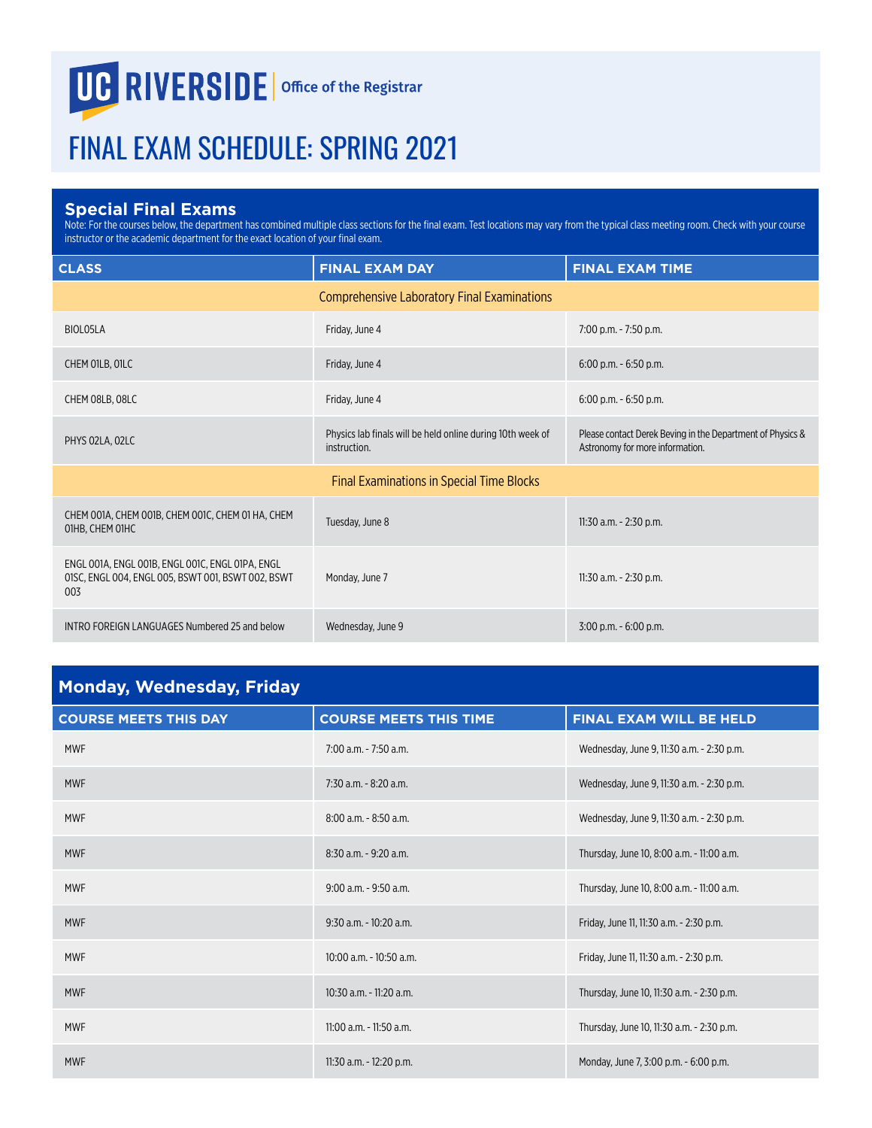## UC RIVERSIDE | Office of the Registrar

## FINAL EXAM SCHEDULE: SPRING 2021

## **Special Final Exams**

Note: For the courses below, the department has combined multiple class sections for the final exam. Test locations may vary from the typical class meeting room. Check with your course instructor or the academic department for the exact location of your final exam.

| <b>CLASS</b>                                                                                                  | <b>FINAL EXAM DAY</b>                                                      | <b>FINAL EXAM TIME</b>                                                                        |
|---------------------------------------------------------------------------------------------------------------|----------------------------------------------------------------------------|-----------------------------------------------------------------------------------------------|
|                                                                                                               | <b>Comprehensive Laboratory Final Examinations</b>                         |                                                                                               |
| BIOL05LA                                                                                                      | Friday, June 4                                                             | 7:00 p.m. - 7:50 p.m.                                                                         |
| CHEM OILB, OILC                                                                                               | Friday, June 4                                                             | $6:00$ p.m. $-6:50$ p.m.                                                                      |
| CHEM 08LB, 08LC                                                                                               | Friday, June 4                                                             | $6:00$ p.m. $-6:50$ p.m.                                                                      |
| PHYS 02LA, 02LC                                                                                               | Physics lab finals will be held online during 10th week of<br>instruction. | Please contact Derek Beving in the Department of Physics &<br>Astronomy for more information. |
|                                                                                                               | <b>Final Examinations in Special Time Blocks</b>                           |                                                                                               |
| CHEM 001A, CHEM 001B, CHEM 001C, CHEM 01 HA, CHEM<br>O1HB, CHEM O1HC                                          | Tuesday, June 8                                                            | 11:30 a.m. - 2:30 p.m.                                                                        |
| ENGL 001A, ENGL 001B, ENGL 001C, ENGL 01PA, ENGL<br>01SC, ENGL 004, ENGL 005, BSWT 001, BSWT 002, BSWT<br>003 | Monday, June 7                                                             | 11:30 a.m. - 2:30 p.m.                                                                        |
| INTRO FOREIGN LANGUAGES Numbered 25 and below                                                                 | Wednesday, June 9                                                          | $3:00$ p.m. - $6:00$ p.m.                                                                     |

## **Monday, Wednesday, Friday**

| <b>COURSE MEETS THIS DAY</b> | <b>COURSE MEETS THIS TIME</b> | FINAL EXAM WILL BE HELD                   |
|------------------------------|-------------------------------|-------------------------------------------|
| <b>MWF</b>                   | 7:00 a.m. - 7:50 a.m.         | Wednesday, June 9, 11:30 a.m. - 2:30 p.m. |
| <b>MWF</b>                   | 7:30 a.m. - 8:20 a.m.         | Wednesday, June 9, 11:30 a.m. - 2:30 p.m. |
| <b>MWF</b>                   | 8:00 a.m. - 8:50 a.m.         | Wednesday, June 9, 11:30 a.m. - 2:30 p.m. |
| <b>MWF</b>                   | $8:30$ a.m. - 9:20 a.m.       | Thursday, June 10, 8:00 a.m. - 11:00 a.m. |
| <b>MWF</b>                   | $9:00$ a.m. $-9:50$ a.m.      | Thursday, June 10, 8:00 a.m. - 11:00 a.m. |
| <b>MWF</b>                   | $9:30$ a.m. - $10:20$ a.m.    | Friday, June 11, 11:30 a.m. - 2:30 p.m.   |
| <b>MWF</b>                   | 10:00 a.m. - 10:50 a.m.       | Friday, June 11, 11:30 a.m. - 2:30 p.m.   |
| <b>MWF</b>                   | 10:30 a.m. - 11:20 a.m.       | Thursday, June 10, 11:30 a.m. - 2:30 p.m. |
| <b>MWF</b>                   | 11:00 a.m. - 11:50 a.m.       | Thursday, June 10, 11:30 a.m. - 2:30 p.m. |
| <b>MWF</b>                   | 11:30 a.m. - 12:20 p.m.       | Monday, June 7, 3:00 p.m. - 6:00 p.m.     |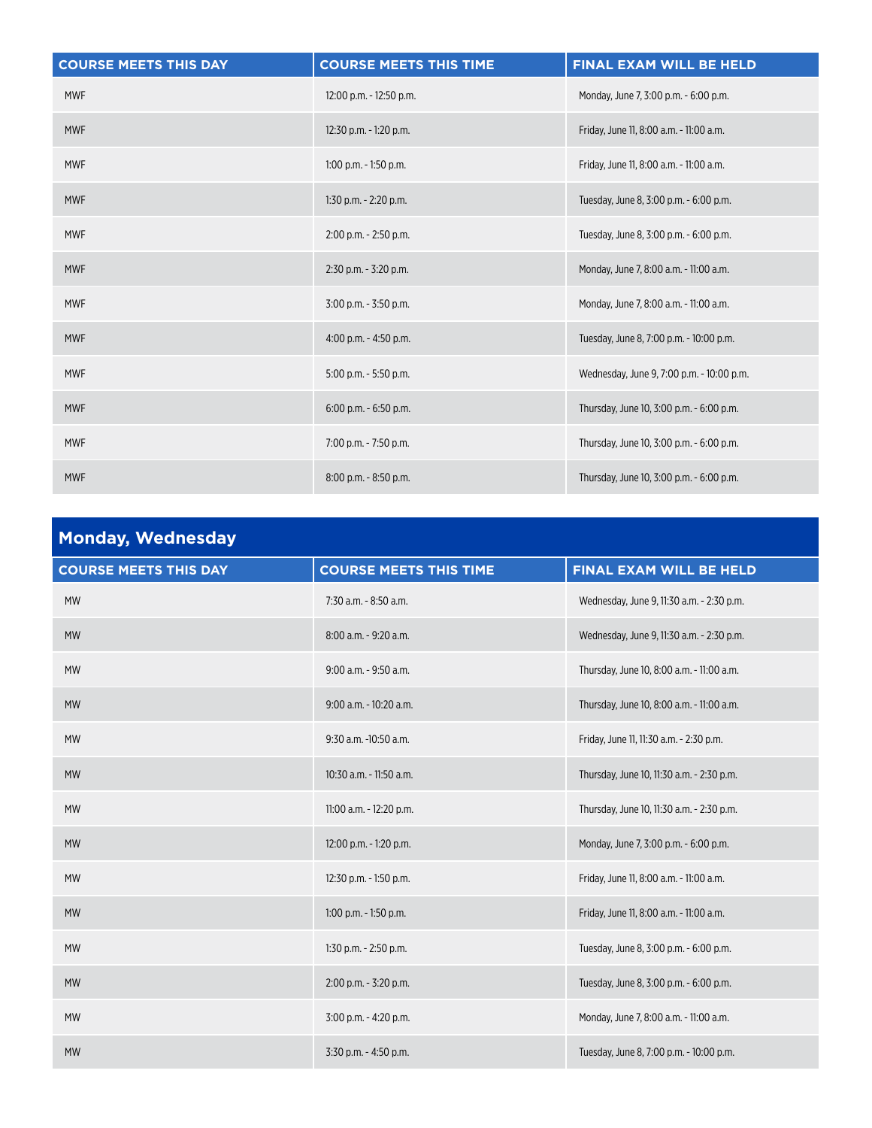| <b>COURSE MEETS THIS DAY</b> | <b>COURSE MEETS THIS TIME</b> | FINAL EXAM WILL BE HELD                   |
|------------------------------|-------------------------------|-------------------------------------------|
| <b>MWF</b>                   | 12:00 p.m. - 12:50 p.m.       | Monday, June 7, 3:00 p.m. - 6:00 p.m.     |
| <b>MWF</b>                   | 12:30 p.m. - 1:20 p.m.        | Friday, June 11, 8:00 a.m. - 11:00 a.m.   |
| <b>MWF</b>                   | $1:00$ p.m. $-1:50$ p.m.      | Friday, June 11, 8:00 a.m. - 11:00 a.m.   |
| <b>MWF</b>                   | 1:30 p.m. - 2:20 p.m.         | Tuesday, June 8, 3:00 p.m. - 6:00 p.m.    |
| <b>MWF</b>                   | $2:00$ p.m. $- 2:50$ p.m.     | Tuesday, June 8, 3:00 p.m. - 6:00 p.m.    |
| <b>MWF</b>                   | $2:30$ p.m. - $3:20$ p.m.     | Monday, June 7, 8:00 a.m. - 11:00 a.m.    |
| <b>MWF</b>                   | $3:00$ p.m. - $3:50$ p.m.     | Monday, June 7, 8:00 a.m. - 11:00 a.m.    |
| <b>MWF</b>                   | $4:00$ p.m. $-4:50$ p.m.      | Tuesday, June 8, 7:00 p.m. - 10:00 p.m.   |
| <b>MWF</b>                   | 5:00 p.m. - 5:50 p.m.         | Wednesday, June 9, 7:00 p.m. - 10:00 p.m. |
| <b>MWF</b>                   | $6:00$ p.m. - $6:50$ p.m.     | Thursday, June 10, 3:00 p.m. - 6:00 p.m.  |
| <b>MWF</b>                   | 7:00 p.m. - 7:50 p.m.         | Thursday, June 10, 3:00 p.m. - 6:00 p.m.  |
| <b>MWF</b>                   | 8:00 p.m. - 8:50 p.m.         | Thursday, June 10, 3:00 p.m. - 6:00 p.m.  |

| <b>Monday, Wednesday</b>     |                               |                                           |
|------------------------------|-------------------------------|-------------------------------------------|
| <b>COURSE MEETS THIS DAY</b> | <b>COURSE MEETS THIS TIME</b> | <b>FINAL EXAM WILL BE HELD</b>            |
| <b>MW</b>                    | 7:30 a.m. - 8:50 a.m.         | Wednesday, June 9, 11:30 a.m. - 2:30 p.m. |
| <b>MW</b>                    | 8:00 a.m. - 9:20 a.m.         | Wednesday, June 9, 11:30 a.m. - 2:30 p.m. |
| <b>MW</b>                    | 9:00 a.m. - 9:50 a.m.         | Thursday, June 10, 8:00 a.m. - 11:00 a.m. |
| <b>MW</b>                    | 9:00 a.m. - 10:20 a.m.        | Thursday, June 10, 8:00 a.m. - 11:00 a.m. |
| <b>MW</b>                    | 9:30 a.m. -10:50 a.m.         | Friday, June 11, 11:30 a.m. - 2:30 p.m.   |
| <b>MW</b>                    | 10:30 a.m. - 11:50 a.m.       | Thursday, June 10, 11:30 a.m. - 2:30 p.m. |
| <b>MW</b>                    | 11:00 a.m. - 12:20 p.m.       | Thursday, June 10, 11:30 a.m. - 2:30 p.m. |
| <b>MW</b>                    | 12:00 p.m. - 1:20 p.m.        | Monday, June 7, 3:00 p.m. - 6:00 p.m.     |
| <b>MW</b>                    | 12:30 p.m. - 1:50 p.m.        | Friday, June 11, 8:00 a.m. - 11:00 a.m.   |
| <b>MW</b>                    | $1:00$ p.m. $-1:50$ p.m.      | Friday, June 11, 8:00 a.m. - 11:00 a.m.   |
| <b>MW</b>                    | 1:30 p.m. - 2:50 p.m.         | Tuesday, June 8, 3:00 p.m. - 6:00 p.m.    |
| <b>MW</b>                    | 2:00 p.m. - 3:20 p.m.         | Tuesday, June 8, 3:00 p.m. - 6:00 p.m.    |
| <b>MW</b>                    | 3:00 p.m. - 4:20 p.m.         | Monday, June 7, 8:00 a.m. - 11:00 a.m.    |
| <b>MW</b>                    | 3:30 p.m. - 4:50 p.m.         | Tuesday, June 8, 7:00 p.m. - 10:00 p.m.   |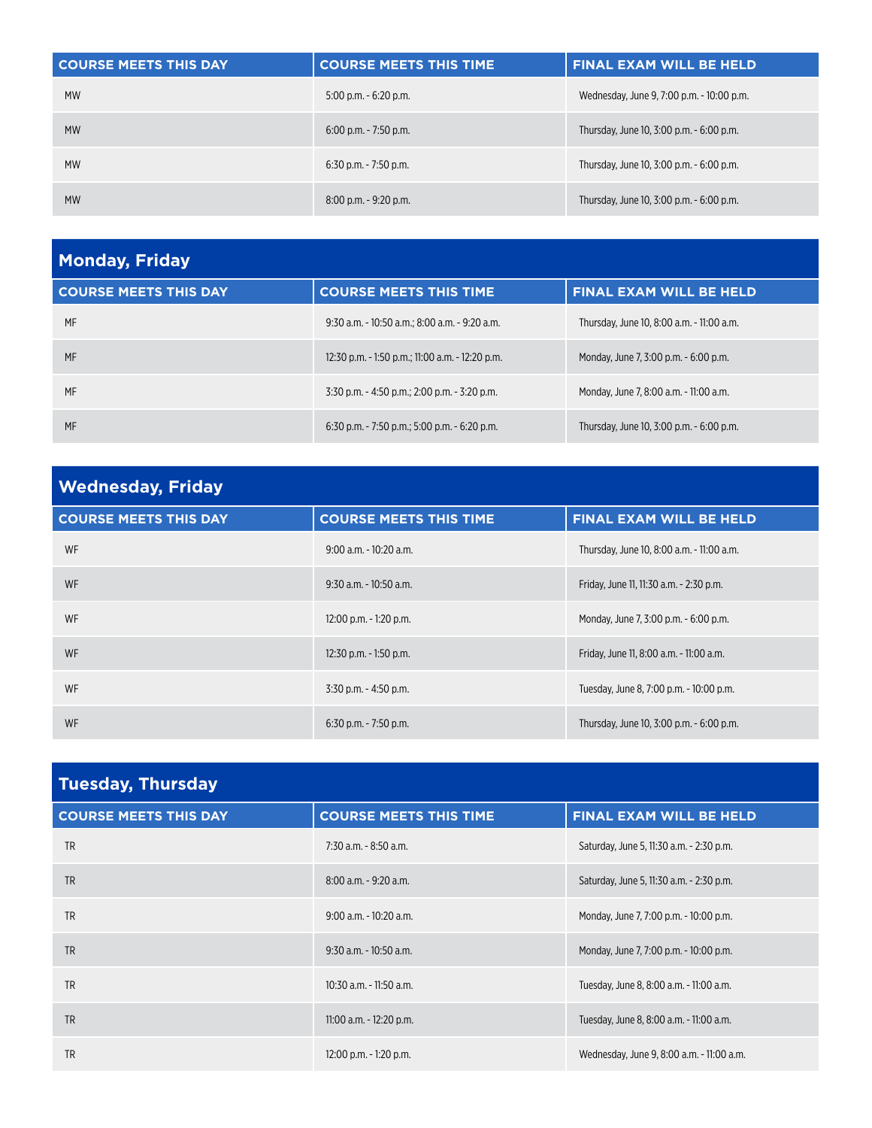| <b>COURSE MEETS THIS DAY</b> | <b>COURSE MEETS THIS TIME</b> | <b>FINAL EXAM WILL BE HELD</b>            |
|------------------------------|-------------------------------|-------------------------------------------|
| <b>MW</b>                    | $5:00$ p.m. $-6:20$ p.m.      | Wednesday, June 9, 7:00 p.m. - 10:00 p.m. |
| <b>MW</b>                    | $6:00$ p.m. - 7:50 p.m.       | Thursday, June 10, 3:00 p.m. - 6:00 p.m.  |
| <b>MW</b>                    | $6:30$ p.m. - 7:50 p.m.       | Thursday, June 10, 3:00 p.m. - 6:00 p.m.  |
| <b>MW</b>                    | $8:00$ p.m. $-9:20$ p.m.      | Thursday, June 10, 3:00 p.m. - 6:00 p.m.  |

| <b>Monday, Friday</b>        |                                                    |                                           |
|------------------------------|----------------------------------------------------|-------------------------------------------|
| <b>COURSE MEETS THIS DAY</b> | <b>COURSE MEETS THIS TIME</b>                      | <b>FINAL EXAM WILL BE HELD</b>            |
| MF                           | 9:30 a.m. - 10:50 a.m.; 8:00 a.m. - 9:20 a.m.      | Thursday, June 10, 8:00 a.m. - 11:00 a.m. |
| MF                           | 12:30 p.m. - 1:50 p.m.; 11:00 a.m. - 12:20 p.m.    | Monday, June 7, 3:00 p.m. - 6:00 p.m.     |
| MF                           | $3:30$ p.m. $-4:50$ p.m.; 2:00 p.m. $-3:20$ p.m.   | Monday, June 7, 8:00 a.m. - 11:00 a.m.    |
| MF                           | $6:30$ p.m. $-7:50$ p.m.; $5:00$ p.m. $-6:20$ p.m. | Thursday, June 10, 3:00 p.m. - 6:00 p.m.  |

| <b>Wednesday, Friday</b>     |                               |                                           |
|------------------------------|-------------------------------|-------------------------------------------|
| <b>COURSE MEETS THIS DAY</b> | <b>COURSE MEETS THIS TIME</b> | <b>FINAL EXAM WILL BE HELD</b>            |
| WF                           | $9:00$ a.m. $-10:20$ a.m.     | Thursday, June 10, 8:00 a.m. - 11:00 a.m. |
| WF                           | $9:30$ a.m. - 10:50 a.m.      | Friday, June 11, 11:30 a.m. - 2:30 p.m.   |
| WF                           | 12:00 p.m. - 1:20 p.m.        | Monday, June 7, 3:00 p.m. - 6:00 p.m.     |
| WF                           | 12:30 p.m. - 1:50 p.m.        | Friday, June 11, 8:00 a.m. - 11:00 a.m.   |
| WF                           | $3:30$ p.m. - 4:50 p.m.       | Tuesday, June 8, 7:00 p.m. - 10:00 p.m.   |
| WF                           | $6:30$ p.m. - 7:50 p.m.       | Thursday, June 10, 3:00 p.m. - 6:00 p.m.  |

| <b>Tuesday, Thursday</b>     |                               |                                           |
|------------------------------|-------------------------------|-------------------------------------------|
| <b>COURSE MEETS THIS DAY</b> | <b>COURSE MEETS THIS TIME</b> | <b>FINAL EXAM WILL BE HELD</b>            |
| <b>TR</b>                    | $7:30$ a.m. $-8:50$ a.m.      | Saturday, June 5, 11:30 a.m. - 2:30 p.m.  |
| <b>TR</b>                    | 8:00 a.m. - 9:20 a.m.         | Saturday, June 5, 11:30 a.m. - 2:30 p.m.  |
| <b>TR</b>                    | $9:00$ a.m. - 10:20 a.m.      | Monday, June 7, 7:00 p.m. - 10:00 p.m.    |
| <b>TR</b>                    | $9:30$ a.m. - 10:50 a.m.      | Monday, June 7, 7:00 p.m. - 10:00 p.m.    |
| <b>TR</b>                    | 10:30 a.m. - 11:50 a.m.       | Tuesday, June 8, 8:00 a.m. - 11:00 a.m.   |
| <b>TR</b>                    | 11:00 a.m. - 12:20 p.m.       | Tuesday, June 8, 8:00 a.m. - 11:00 a.m.   |
| <b>TR</b>                    | $12:00$ p.m. $-1:20$ p.m.     | Wednesday, June 9, 8:00 a.m. - 11:00 a.m. |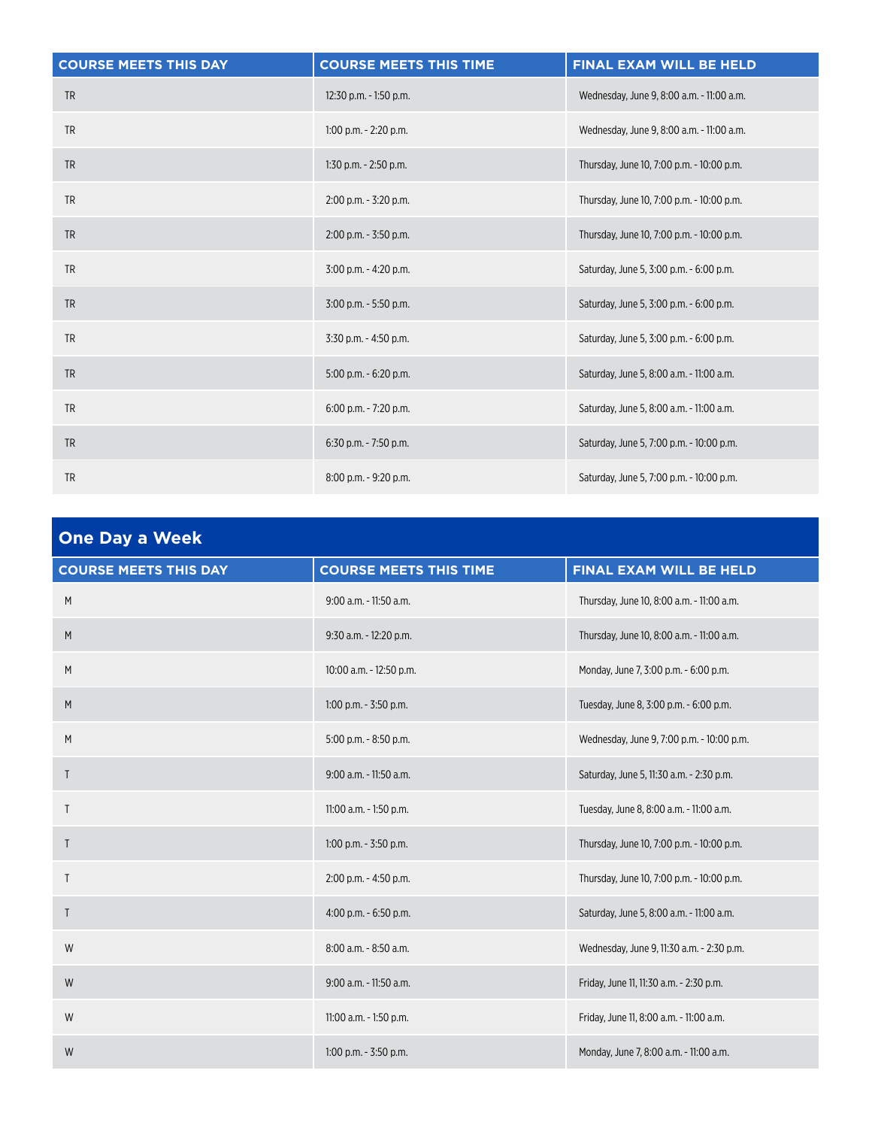| <b>COURSE MEETS THIS DAY</b> | <b>COURSE MEETS THIS TIME</b> | FINAL EXAM WILL BE HELD                   |
|------------------------------|-------------------------------|-------------------------------------------|
| <b>TR</b>                    | 12:30 p.m. - 1:50 p.m.        | Wednesday, June 9, 8:00 a.m. - 11:00 a.m. |
| <b>TR</b>                    | $1:00$ p.m. $-2:20$ p.m.      | Wednesday, June 9, 8:00 a.m. - 11:00 a.m. |
| <b>TR</b>                    | $1:30$ p.m. $-2:50$ p.m.      | Thursday, June 10, 7:00 p.m. - 10:00 p.m. |
| <b>TR</b>                    | $2:00$ p.m. $-3:20$ p.m.      | Thursday, June 10, 7:00 p.m. - 10:00 p.m. |
| <b>TR</b>                    | 2:00 p.m. - 3:50 p.m.         | Thursday, June 10, 7:00 p.m. - 10:00 p.m. |
| <b>TR</b>                    | 3:00 p.m. - 4:20 p.m.         | Saturday, June 5, 3:00 p.m. - 6:00 p.m.   |
| <b>TR</b>                    | 3:00 p.m. - 5:50 p.m.         | Saturday, June 5, 3:00 p.m. - 6:00 p.m.   |
| <b>TR</b>                    | 3:30 p.m. - 4:50 p.m.         | Saturday, June 5, 3:00 p.m. - 6:00 p.m.   |
| <b>TR</b>                    | $5:00$ p.m. $-6:20$ p.m.      | Saturday, June 5, 8:00 a.m. - 11:00 a.m.  |
| <b>TR</b>                    | 6:00 p.m. - 7:20 p.m.         | Saturday, June 5, 8:00 a.m. - 11:00 a.m.  |
| <b>TR</b>                    | 6:30 p.m. - 7:50 p.m.         | Saturday, June 5, 7:00 p.m. - 10:00 p.m.  |
| <b>TR</b>                    | 8:00 p.m. - 9:20 p.m.         | Saturday, June 5, 7:00 p.m. - 10:00 p.m.  |

| <b>One Day a Week</b>        |                               |                                           |
|------------------------------|-------------------------------|-------------------------------------------|
| <b>COURSE MEETS THIS DAY</b> | <b>COURSE MEETS THIS TIME</b> | FINAL EXAM WILL BE HELD                   |
| M                            | 9:00 a.m. - 11:50 a.m.        | Thursday, June 10, 8:00 a.m. - 11:00 a.m. |
| M                            | 9:30 a.m. - 12:20 p.m.        | Thursday, June 10, 8:00 a.m. - 11:00 a.m. |
| M                            | 10:00 a.m. - 12:50 p.m.       | Monday, June 7, 3:00 p.m. - 6:00 p.m.     |
| M                            | $1:00$ p.m. - $3:50$ p.m.     | Tuesday, June 8, 3:00 p.m. - 6:00 p.m.    |
| M                            | 5:00 p.m. - 8:50 p.m.         | Wednesday, June 9, 7:00 p.m. - 10:00 p.m. |
| Τ                            | 9:00 a.m. - 11:50 a.m.        | Saturday, June 5, 11:30 a.m. - 2:30 p.m.  |
| T                            | 11:00 a.m. - 1:50 p.m.        | Tuesday, June 8, 8:00 a.m. - 11:00 a.m.   |
| $\mathsf{T}$                 | $1:00$ p.m. - $3:50$ p.m.     | Thursday, June 10, 7:00 p.m. - 10:00 p.m. |
| T                            | 2:00 p.m. - 4:50 p.m.         | Thursday, June 10, 7:00 p.m. - 10:00 p.m. |
| $\mathsf{T}$                 | 4:00 p.m. - 6:50 p.m.         | Saturday, June 5, 8:00 a.m. - 11:00 a.m.  |
| W                            | 8:00 a.m. - 8:50 a.m.         | Wednesday, June 9, 11:30 a.m. - 2:30 p.m. |
| W                            | 9:00 a.m. - 11:50 a.m.        | Friday, June 11, 11:30 a.m. - 2:30 p.m.   |
| W                            | 11:00 a.m. - 1:50 p.m.        | Friday, June 11, 8:00 a.m. - 11:00 a.m.   |
| W                            | $1:00$ p.m. - $3:50$ p.m.     | Monday, June 7, 8:00 a.m. - 11:00 a.m.    |